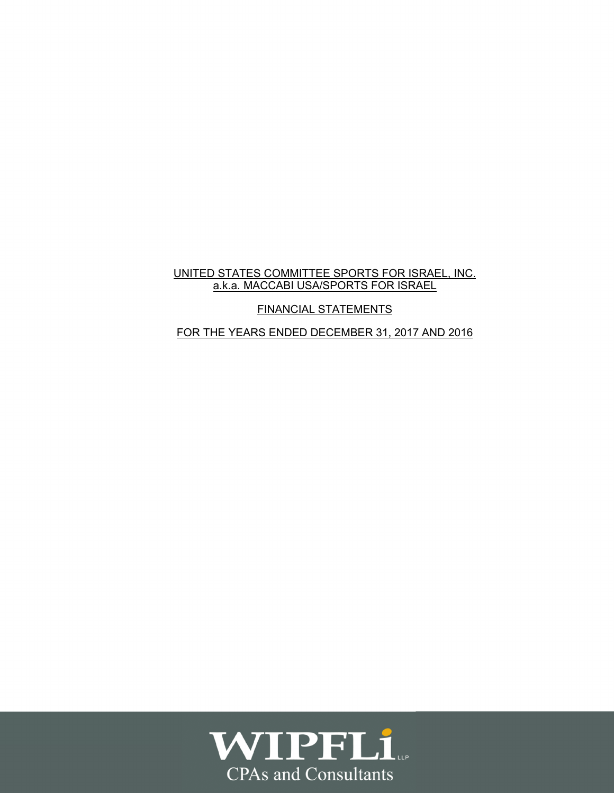## UNITED STATES COMMITTEE SPORTS FOR ISRAEL, INC. a.k.a. MACCABI USA/SPORTS FOR ISRAEL

FINANCIAL STATEMENTS

FOR THE YEARS ENDED DECEMBER 31, 2017 AND 2016

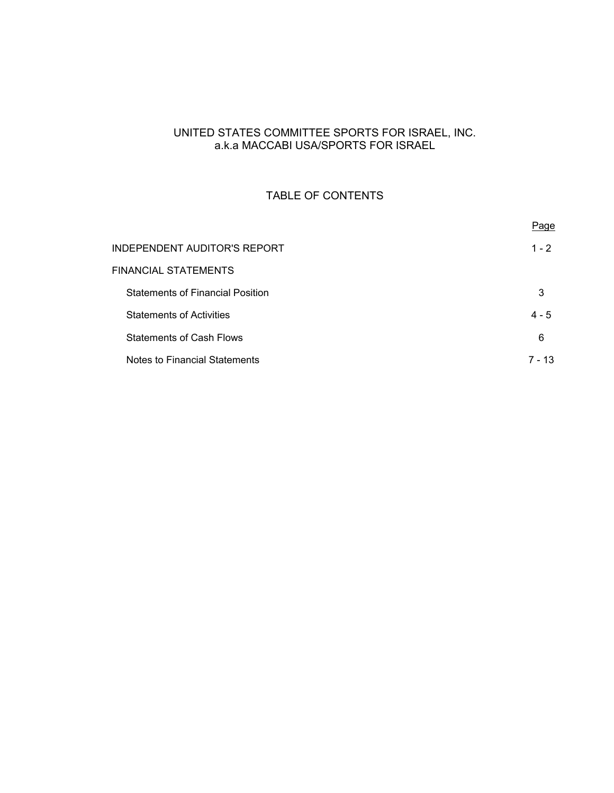## UNITED STATES COMMITTEE SPORTS FOR ISRAEL, INC. a.k.a MACCABI USA/SPORTS FOR ISRAEL

# TABLE OF CONTENTS

|                                         | Page    |
|-----------------------------------------|---------|
| INDEPENDENT AUDITOR'S REPORT            | $1 - 2$ |
| FINANCIAL STATEMENTS                    |         |
| <b>Statements of Financial Position</b> | 3       |
| <b>Statements of Activities</b>         | $4 - 5$ |
| <b>Statements of Cash Flows</b>         | 6       |
| Notes to Financial Statements           | 7 - 13  |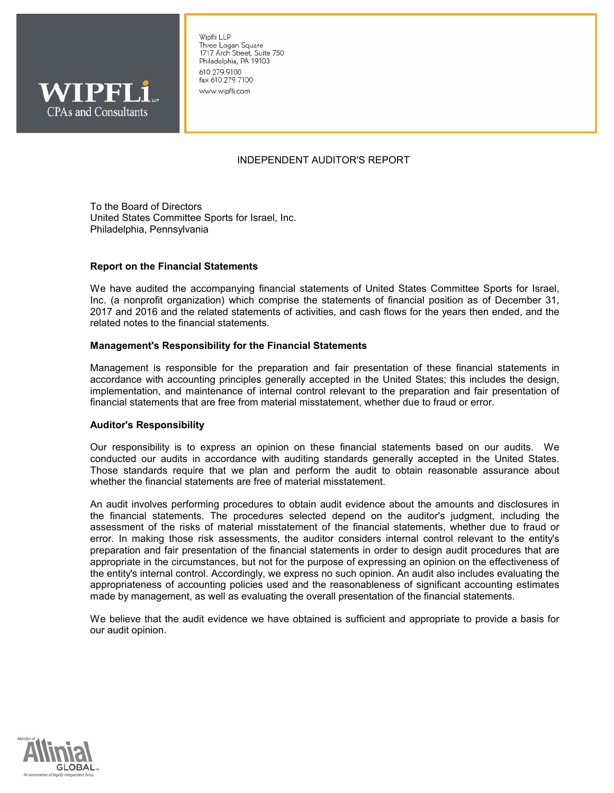

Wipfli LLP Three Logan Square 1717 Arch Street, Suite 750 Philadelphia, PA 19103 610.279.9100 fax 610.279.7100 www.wipfli.com

#### INDEPENDENT AUDITOR'S REPORT

To the Board of Directors United States Committee Sports for Israel, Inc. Philadelphia, Pennsylvania

#### **Report on the Financial Statements**

We have audited the accompanying financial statements of United States Committee Sports for Israel, Inc. (a nonprofit organization) which comprise the statements of financial position as of December 31, 2017 and 2016 and the related statements of activities, and cash flows for the years then ended, and the related notes to the financial statements.

#### **Management's Responsibility for the Financial Statements**

Management is responsible for the preparation and fair presentation of these financial statements in accordance with accounting principles generally accepted in the United States; this includes the design, implementation, and maintenance of internal control relevant to the preparation and fair presentation of financial statements that are free from material misstatement, whether due to fraud or error.

#### **Auditor's Responsibility**

Our responsibility is to express an opinion on these financial statements based on our audits. We conducted our audits in accordance with auditing standards generally accepted in the United States. Those standards require that we plan and perform the audit to obtain reasonable assurance about whether the financial statements are free of material misstatement.

An audit involves performing procedures to obtain audit evidence about the amounts and disclosures in the financial statements. The procedures selected depend on the auditor's judgment, including the assessment of the risks of material misstatement of the financial statements, whether due to fraud or error. In making those risk assessments, the auditor considers internal control relevant to the entity's preparation and fair presentation of the financial statements in order to design audit procedures that are appropriate in the circumstances, but not for the purpose of expressing an opinion on the effectiveness of the entity's internal control. Accordingly, we express no such opinion. An audit also includes evaluating the appropriateness of accounting policies used and the reasonableness of significant accounting estimates made by management, as well as evaluating the overall presentation of the financial statements.

We believe that the audit evidence we have obtained is sufficient and appropriate to provide a basis for our audit opinion.

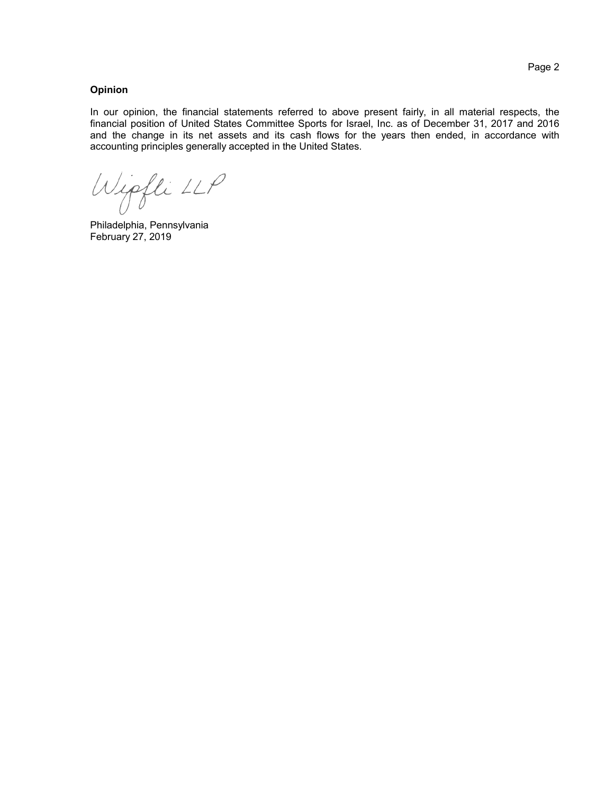### **Opinion**

In our opinion, the financial statements referred to above present fairly, in all material respects, the financial position of United States Committee Sports for Israel, Inc. as of December 31, 2017 and 2016 and the change in its net assets and its cash flows for the years then ended, in accordance with accounting principles generally accepted in the United States.

Wipfli LLP

Philadelphia, Pennsylvania February 27, 2019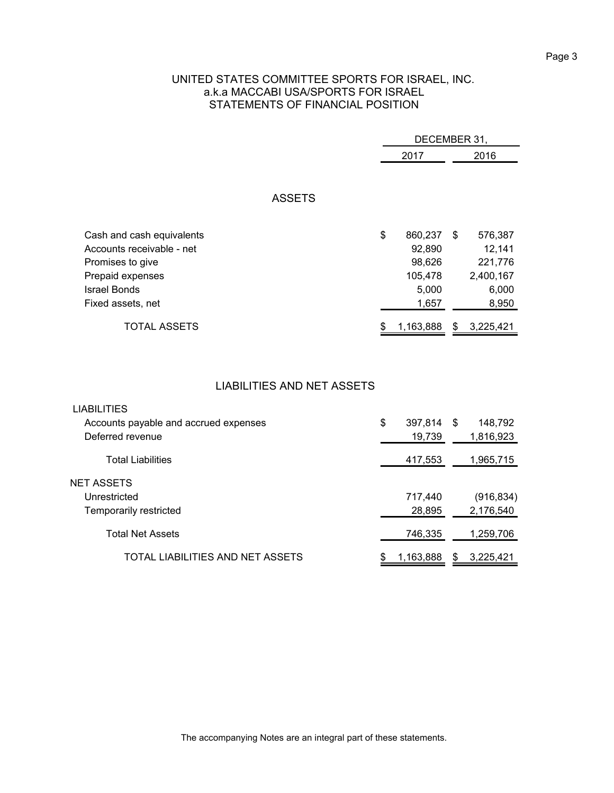## Page 3

### UNITED STATES COMMITTEE SPORTS FOR ISRAEL, INC. a.k.a MACCABI USA/SPORTS FOR ISRAEL STATEMENTS OF FINANCIAL POSITION

|                           | DECEMBER 31,  |      |           |
|---------------------------|---------------|------|-----------|
|                           | 2017          |      | 2016      |
|                           |               |      |           |
| <b>ASSETS</b>             |               |      |           |
|                           |               |      |           |
|                           |               |      |           |
| Cash and cash equivalents | \$<br>860,237 | - \$ | 576,387   |
| Accounts receivable - net | 92,890        |      | 12,141    |
| Promises to give          | 98,626        |      | 221,776   |
| Prepaid expenses          | 105,478       |      | 2,400,167 |
| Israel Bonds              | 5,000         |      | 6,000     |
| Fixed assets, net         | 1,657         |      | 8,950     |
| <b>TOTAL ASSETS</b>       | 1,163,888     | S    | 3,225,421 |

## LIABILITIES AND NET ASSETS

| <b>LIABILITIES</b>                    |               |      |            |
|---------------------------------------|---------------|------|------------|
| Accounts payable and accrued expenses | \$<br>397,814 | - \$ | 148,792    |
| Deferred revenue                      | 19,739        |      | 1,816,923  |
| <b>Total Liabilities</b>              | 417,553       |      | 1,965,715  |
| NET ASSETS                            |               |      |            |
| Unrestricted                          | 717.440       |      | (916, 834) |
| Temporarily restricted                | 28,895        |      | 2,176,540  |
| <b>Total Net Assets</b>               | 746,335       |      | 1,259,706  |
| TOTAL LIABILITIES AND NET ASSETS      | 1,163,888     | S    | 3,225,421  |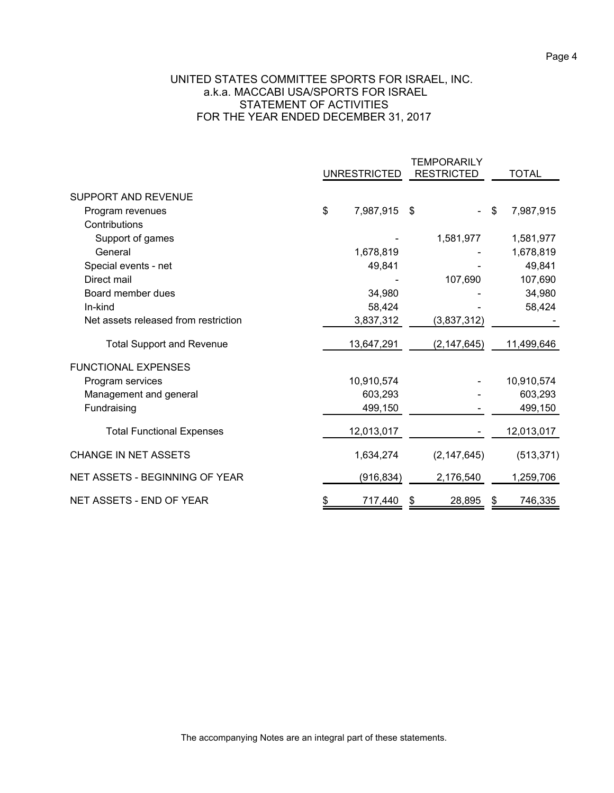### UNITED STATES COMMITTEE SPORTS FOR ISRAEL, INC. a.k.a. MACCABI USA/SPORTS FOR ISRAEL STATEMENT OF ACTIVITIES FOR THE YEAR ENDED DECEMBER 31, 2017

|                                      | <b>UNRESTRICTED</b> |            | TEMPORARILY<br><b>RESTRICTED</b> |               | <b>TOTAL</b> |            |
|--------------------------------------|---------------------|------------|----------------------------------|---------------|--------------|------------|
|                                      |                     |            |                                  |               |              |            |
| SUPPORT AND REVENUE                  |                     |            |                                  |               |              |            |
| Program revenues                     | \$                  | 7,987,915  | \$                               |               | \$           | 7,987,915  |
| Contributions                        |                     |            |                                  |               |              |            |
| Support of games                     |                     |            |                                  | 1,581,977     |              | 1,581,977  |
| General                              |                     | 1,678,819  |                                  |               |              | 1,678,819  |
| Special events - net                 |                     | 49,841     |                                  |               |              | 49,841     |
| Direct mail                          |                     |            |                                  | 107,690       |              | 107,690    |
| Board member dues                    |                     | 34,980     |                                  |               |              | 34,980     |
| In-kind                              |                     | 58,424     |                                  |               |              | 58,424     |
| Net assets released from restriction |                     | 3,837,312  |                                  | (3,837,312)   |              |            |
| <b>Total Support and Revenue</b>     |                     | 13,647,291 |                                  | (2, 147, 645) |              | 11,499,646 |
| <b>FUNCTIONAL EXPENSES</b>           |                     |            |                                  |               |              |            |
| Program services                     |                     | 10,910,574 |                                  |               |              | 10,910,574 |
| Management and general               |                     | 603,293    |                                  |               |              | 603,293    |
| Fundraising                          |                     | 499,150    |                                  |               |              | 499,150    |
| <b>Total Functional Expenses</b>     |                     | 12,013,017 |                                  |               |              | 12,013,017 |
| <b>CHANGE IN NET ASSETS</b>          |                     | 1,634,274  |                                  | (2, 147, 645) |              | (513, 371) |
| NET ASSETS - BEGINNING OF YEAR       |                     | (916, 834) |                                  | 2,176,540     |              | 1,259,706  |
| NET ASSETS - END OF YEAR             |                     | 717,440    | \$                               | 28,895        |              | 746,335    |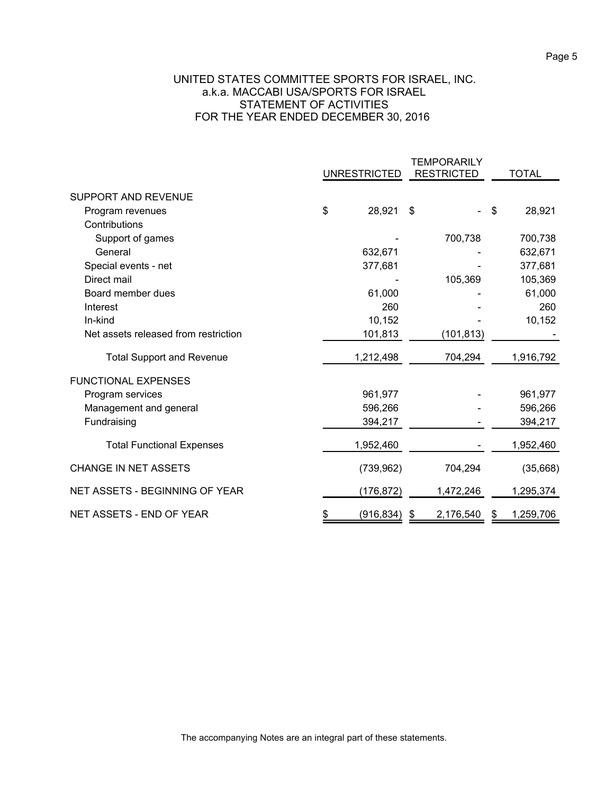### UNITED STATES COMMITTEE SPORTS FOR ISRAEL, INC. a.k.a. MACCABI USA/SPORTS FOR ISRAEL STATEMENT OF ACTIVITIES FOR THE YEAR ENDED DECEMBER 30, 2016

|                                      |                     | TEMPORARILY       |              |
|--------------------------------------|---------------------|-------------------|--------------|
|                                      | <b>UNRESTRICTED</b> | <b>RESTRICTED</b> | <b>TOTAL</b> |
| SUPPORT AND REVENUE                  |                     |                   |              |
| Program revenues                     | \$<br>28,921        | \$                | 28,921<br>\$ |
| Contributions                        |                     |                   |              |
| Support of games                     |                     | 700,738           | 700,738      |
| General                              | 632,671             |                   | 632,671      |
| Special events - net                 | 377,681             |                   | 377,681      |
| Direct mail                          |                     | 105,369           | 105,369      |
| Board member dues                    | 61,000              |                   | 61,000       |
| Interest                             | 260                 |                   | 260          |
| In-kind                              | 10,152              |                   | 10,152       |
| Net assets released from restriction | 101,813             | (101, 813)        |              |
| <b>Total Support and Revenue</b>     | 1,212,498           | 704,294           | 1,916,792    |
| <b>FUNCTIONAL EXPENSES</b>           |                     |                   |              |
| Program services                     | 961,977             |                   | 961,977      |
| Management and general               | 596,266             |                   | 596,266      |
| Fundraising                          | 394,217             |                   | 394,217      |
| <b>Total Functional Expenses</b>     | 1,952,460           |                   | 1,952,460    |
| <b>CHANGE IN NET ASSETS</b>          | (739, 962)          | 704,294           | (35,668)     |
| NET ASSETS - BEGINNING OF YEAR       | <u>(176,872)</u>    | <u>1,472,246</u>  | 1,295,374    |
| NET ASSETS - END OF YEAR             | (916, 834)          | 2,176,540<br>\$   | 1,259,706    |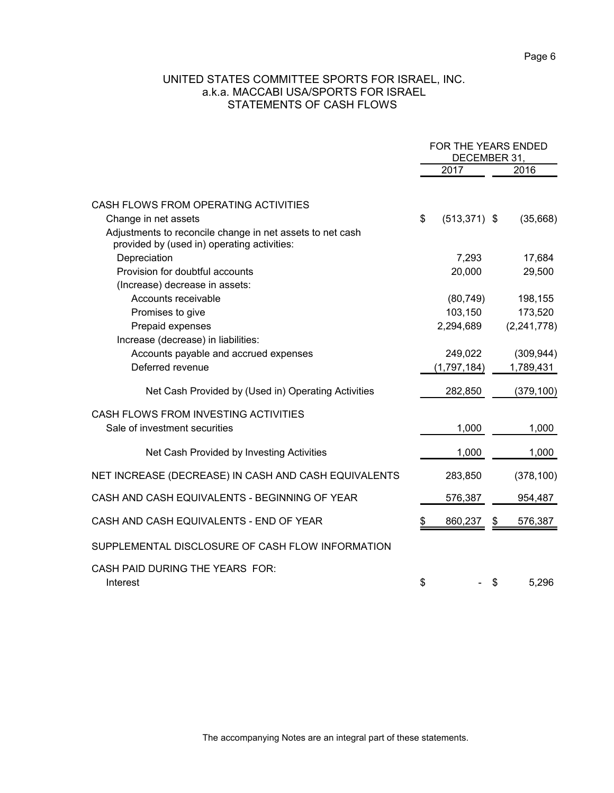## UNITED STATES COMMITTEE SPORTS FOR ISRAEL, INC. a.k.a. MACCABI USA/SPORTS FOR ISRAEL STATEMENTS OF CASH FLOWS

|                                                                                                                                  | FOR THE YEARS ENDED<br>DECEMBER 31, |                 |    |             |
|----------------------------------------------------------------------------------------------------------------------------------|-------------------------------------|-----------------|----|-------------|
|                                                                                                                                  |                                     | 2017            |    | 2016        |
| CASH FLOWS FROM OPERATING ACTIVITIES                                                                                             |                                     |                 |    |             |
| Change in net assets<br>Adjustments to reconcile change in net assets to net cash<br>provided by (used in) operating activities: | \$                                  | $(513, 371)$ \$ |    | (35,668)    |
| Depreciation                                                                                                                     |                                     | 7,293           |    | 17,684      |
| Provision for doubtful accounts                                                                                                  |                                     | 20,000          |    | 29,500      |
| (Increase) decrease in assets:                                                                                                   |                                     |                 |    |             |
| Accounts receivable                                                                                                              |                                     | (80, 749)       |    | 198,155     |
| Promises to give                                                                                                                 |                                     | 103,150         |    | 173,520     |
| Prepaid expenses                                                                                                                 |                                     | 2,294,689       |    | (2,241,778) |
| Increase (decrease) in liabilities:                                                                                              |                                     |                 |    |             |
| Accounts payable and accrued expenses                                                                                            |                                     | 249,022         |    | (309, 944)  |
| Deferred revenue                                                                                                                 |                                     | (1,797,184)     |    | 1,789,431   |
| Net Cash Provided by (Used in) Operating Activities                                                                              |                                     | 282,850         |    | (379, 100)  |
| CASH FLOWS FROM INVESTING ACTIVITIES<br>Sale of investment securities                                                            |                                     | 1,000           |    | 1,000       |
| Net Cash Provided by Investing Activities                                                                                        |                                     | 1,000           |    | 1,000       |
| NET INCREASE (DECREASE) IN CASH AND CASH EQUIVALENTS                                                                             |                                     | 283,850         |    | (378, 100)  |
| CASH AND CASH EQUIVALENTS - BEGINNING OF YEAR                                                                                    |                                     | 576,387         |    | 954,487     |
| CASH AND CASH EQUIVALENTS - END OF YEAR                                                                                          |                                     | 860,237         | \$ | 576,387     |
| SUPPLEMENTAL DISCLOSURE OF CASH FLOW INFORMATION                                                                                 |                                     |                 |    |             |
| CASH PAID DURING THE YEARS FOR:<br>Interest                                                                                      | \$                                  |                 | \$ | 5,296       |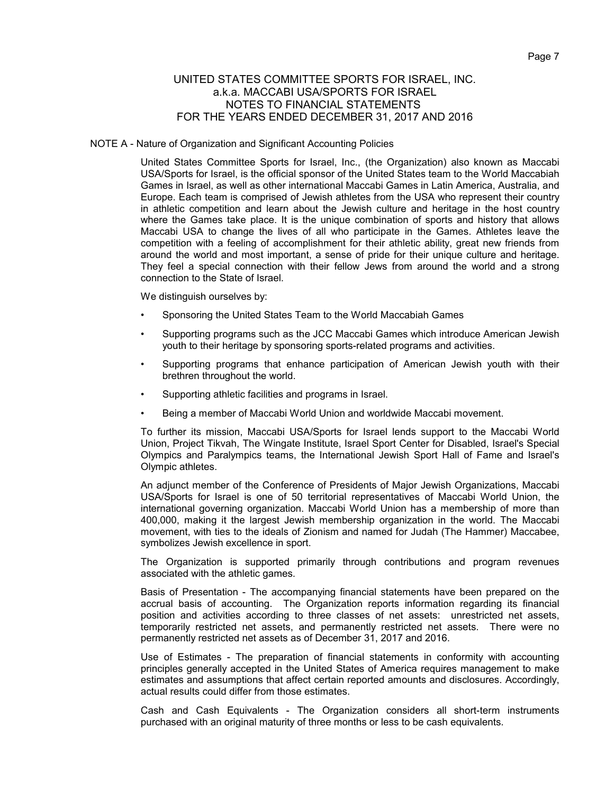#### NOTE A - Nature of Organization and Significant Accounting Policies

United States Committee Sports for Israel, Inc., (the Organization) also known as Maccabi USA/Sports for Israel, is the official sponsor of the United States team to the World Maccabiah Games in Israel, as well as other international Maccabi Games in Latin America, Australia, and Europe. Each team is comprised of Jewish athletes from the USA who represent their country in athletic competition and learn about the Jewish culture and heritage in the host country where the Games take place. It is the unique combination of sports and history that allows Maccabi USA to change the lives of all who participate in the Games. Athletes leave the competition with a feeling of accomplishment for their athletic ability, great new friends from around the world and most important, a sense of pride for their unique culture and heritage. They feel a special connection with their fellow Jews from around the world and a strong connection to the State of Israel.

We distinguish ourselves by:

- Sponsoring the United States Team to the World Maccabiah Games
- Supporting programs such as the JCC Maccabi Games which introduce American Jewish youth to their heritage by sponsoring sports-related programs and activities.
- Supporting programs that enhance participation of American Jewish youth with their brethren throughout the world.
- Supporting athletic facilities and programs in Israel.
- Being a member of Maccabi World Union and worldwide Maccabi movement.

To further its mission, Maccabi USA/Sports for Israel lends support to the Maccabi World Union, Project Tikvah, The Wingate Institute, Israel Sport Center for Disabled, Israel's Special Olympics and Paralympics teams, the International Jewish Sport Hall of Fame and Israel's Olympic athletes.

An adjunct member of the Conference of Presidents of Major Jewish Organizations, Maccabi USA/Sports for Israel is one of 50 territorial representatives of Maccabi World Union, the international governing organization. Maccabi World Union has a membership of more than 400,000, making it the largest Jewish membership organization in the world. The Maccabi movement, with ties to the ideals of Zionism and named for Judah (The Hammer) Maccabee, symbolizes Jewish excellence in sport.

The Organization is supported primarily through contributions and program revenues associated with the athletic games.

Basis of Presentation - The accompanying financial statements have been prepared on the accrual basis of accounting. The Organization reports information regarding its financial position and activities according to three classes of net assets: unrestricted net assets, temporarily restricted net assets, and permanently restricted net assets. There were no permanently restricted net assets as of December 31, 2017 and 2016.

Use of Estimates - The preparation of financial statements in conformity with accounting principles generally accepted in the United States of America requires management to make estimates and assumptions that affect certain reported amounts and disclosures. Accordingly, actual results could differ from those estimates.

Cash and Cash Equivalents - The Organization considers all short-term instruments purchased with an original maturity of three months or less to be cash equivalents.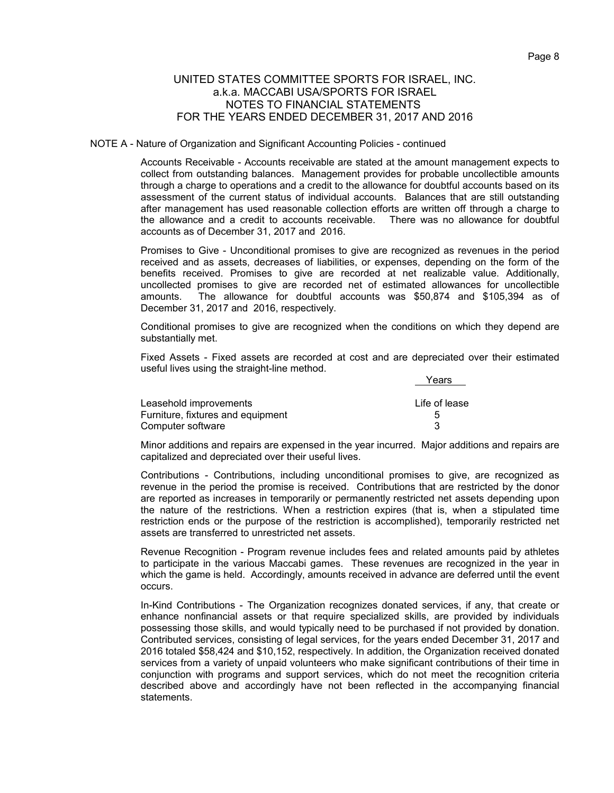#### NOTE A - Nature of Organization and Significant Accounting Policies - continued

Accounts Receivable - Accounts receivable are stated at the amount management expects to collect from outstanding balances. Management provides for probable uncollectible amounts through a charge to operations and a credit to the allowance for doubtful accounts based on its assessment of the current status of individual accounts. Balances that are still outstanding after management has used reasonable collection efforts are written off through a charge to the allowance and a credit to accounts receivable. There was no allowance for doubtful accounts as of December 31, 2017 and 2016.

Promises to Give - Unconditional promises to give are recognized as revenues in the period received and as assets, decreases of liabilities, or expenses, depending on the form of the benefits received. Promises to give are recorded at net realizable value. Additionally, uncollected promises to give are recorded net of estimated allowances for uncollectible amounts. The allowance for doubtful accounts was \$50,874 and \$105,394 as of December 31, 2017 and 2016, respectively.

Conditional promises to give are recognized when the conditions on which they depend are substantially met.

Fixed Assets - Fixed assets are recorded at cost and are depreciated over their estimated useful lives using the straight-line method.

|                                   | Years         |
|-----------------------------------|---------------|
| Leasehold improvements            | Life of lease |
| Furniture, fixtures and equipment | h             |
| Computer software                 |               |

Minor additions and repairs are expensed in the year incurred. Major additions and repairs are capitalized and depreciated over their useful lives.

Contributions - Contributions, including unconditional promises to give, are recognized as revenue in the period the promise is received. Contributions that are restricted by the donor are reported as increases in temporarily or permanently restricted net assets depending upon the nature of the restrictions. When a restriction expires (that is, when a stipulated time restriction ends or the purpose of the restriction is accomplished), temporarily restricted net assets are transferred to unrestricted net assets.

Revenue Recognition - Program revenue includes fees and related amounts paid by athletes to participate in the various Maccabi games. These revenues are recognized in the year in which the game is held. Accordingly, amounts received in advance are deferred until the event occurs.

In-Kind Contributions - The Organization recognizes donated services, if any, that create or enhance nonfinancial assets or that require specialized skills, are provided by individuals possessing those skills, and would typically need to be purchased if not provided by donation. Contributed services, consisting of legal services, for the years ended December 31, 2017 and 2016 totaled \$58,424 and \$10,152, respectively. In addition, the Organization received donated services from a variety of unpaid volunteers who make significant contributions of their time in conjunction with programs and support services, which do not meet the recognition criteria described above and accordingly have not been reflected in the accompanying financial statements.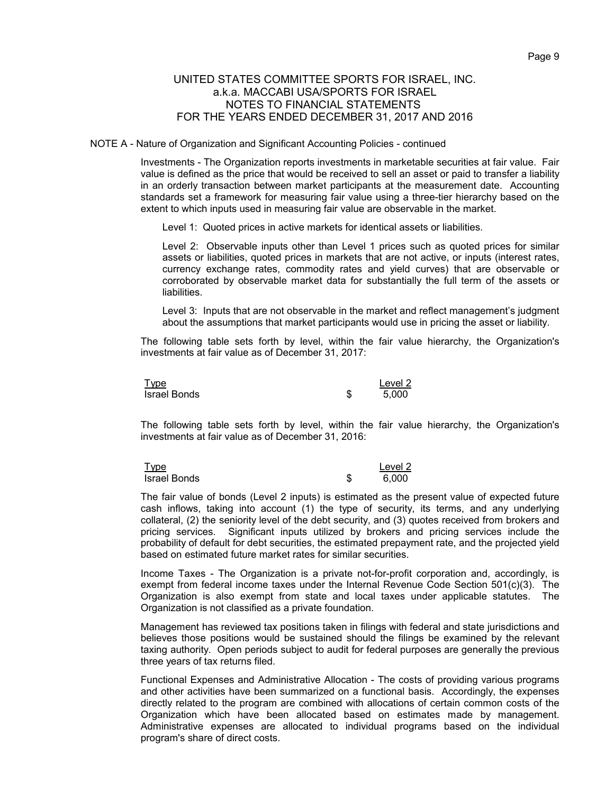NOTE A - Nature of Organization and Significant Accounting Policies - continued

Investments - The Organization reports investments in marketable securities at fair value. Fair value is defined as the price that would be received to sell an asset or paid to transfer a liability in an orderly transaction between market participants at the measurement date. Accounting standards set a framework for measuring fair value using a three-tier hierarchy based on the extent to which inputs used in measuring fair value are observable in the market.

Level 1: Quoted prices in active markets for identical assets or liabilities.

Level 2: Observable inputs other than Level 1 prices such as quoted prices for similar assets or liabilities, quoted prices in markets that are not active, or inputs (interest rates, currency exchange rates, commodity rates and yield curves) that are observable or corroborated by observable market data for substantially the full term of the assets or liabilities.

Level 3: Inputs that are not observable in the market and reflect management's judgment about the assumptions that market participants would use in pricing the asset or liability.

The following table sets forth by level, within the fair value hierarchy, the Organization's investments at fair value as of December 31, 2017:

| <u>Type</u>  | Level 2 |
|--------------|---------|
| Israel Bonds | 5.000   |

The following table sets forth by level, within the fair value hierarchy, the Organization's investments at fair value as of December 31, 2016:

| <b>Type</b>         | Level 2 |
|---------------------|---------|
| <b>Israel Bonds</b> | 6.000   |

The fair value of bonds (Level 2 inputs) is estimated as the present value of expected future cash inflows, taking into account (1) the type of security, its terms, and any underlying collateral, (2) the seniority level of the debt security, and (3) quotes received from brokers and pricing services. Significant inputs utilized by brokers and pricing services include the probability of default for debt securities, the estimated prepayment rate, and the projected yield based on estimated future market rates for similar securities.

Income Taxes - The Organization is a private not-for-profit corporation and, accordingly, is exempt from federal income taxes under the Internal Revenue Code Section 501(c)(3). The Organization is also exempt from state and local taxes under applicable statutes. The Organization is not classified as a private foundation.

Management has reviewed tax positions taken in filings with federal and state jurisdictions and believes those positions would be sustained should the filings be examined by the relevant taxing authority. Open periods subject to audit for federal purposes are generally the previous three years of tax returns filed.

Functional Expenses and Administrative Allocation - The costs of providing various programs and other activities have been summarized on a functional basis. Accordingly, the expenses directly related to the program are combined with allocations of certain common costs of the Organization which have been allocated based on estimates made by management. Administrative expenses are allocated to individual programs based on the individual program's share of direct costs.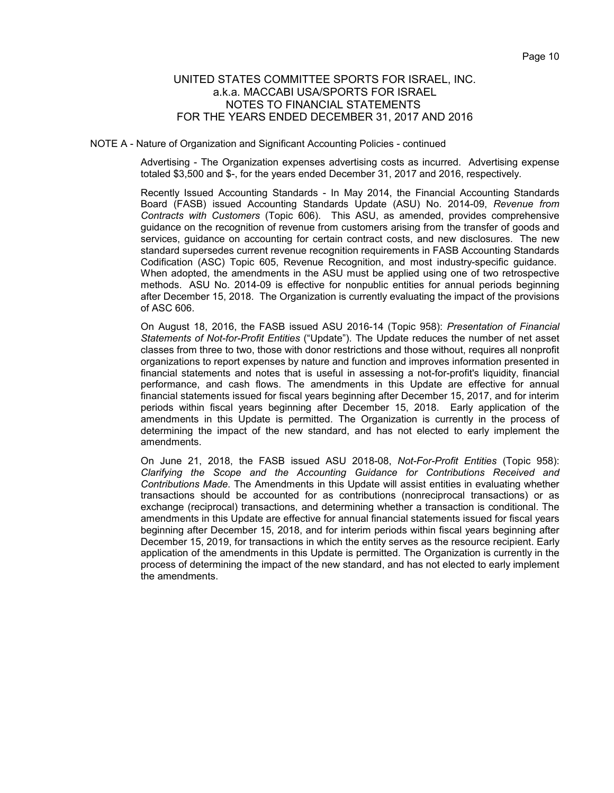#### NOTE A - Nature of Organization and Significant Accounting Policies - continued

Advertising - The Organization expenses advertising costs as incurred. Advertising expense totaled \$3,500 and \$-, for the years ended December 31, 2017 and 2016, respectively.

Recently Issued Accounting Standards - In May 2014, the Financial Accounting Standards Board (FASB) issued Accounting Standards Update (ASU) No. 2014-09, *Revenue from Contracts with Customers* (Topic 606). This ASU, as amended, provides comprehensive guidance on the recognition of revenue from customers arising from the transfer of goods and services, guidance on accounting for certain contract costs, and new disclosures. The new standard supersedes current revenue recognition requirements in FASB Accounting Standards Codification (ASC) Topic 605, Revenue Recognition, and most industry-specific guidance. When adopted, the amendments in the ASU must be applied using one of two retrospective methods. ASU No. 2014-09 is effective for nonpublic entities for annual periods beginning after December 15, 2018. The Organization is currently evaluating the impact of the provisions of ASC 606.

On August 18, 2016, the FASB issued ASU 2016-14 (Topic 958): *Presentation of Financial Statements of Not-for-Profit Entities* ("Update"). The Update reduces the number of net asset classes from three to two, those with donor restrictions and those without, requires all nonprofit organizations to report expenses by nature and function and improves information presented in financial statements and notes that is useful in assessing a not-for-profit's liquidity, financial performance, and cash flows. The amendments in this Update are effective for annual financial statements issued for fiscal years beginning after December 15, 2017, and for interim periods within fiscal years beginning after December 15, 2018. Early application of the amendments in this Update is permitted. The Organization is currently in the process of determining the impact of the new standard, and has not elected to early implement the amendments.

On June 21, 2018, the FASB issued ASU 2018-08, *Not-For-Profit Entities* (Topic 958): *Clarifying the Scope and the Accounting Guidance for Contributions Received and Contributions Made*. The Amendments in this Update will assist entities in evaluating whether transactions should be accounted for as contributions (nonreciprocal transactions) or as exchange (reciprocal) transactions, and determining whether a transaction is conditional. The amendments in this Update are effective for annual financial statements issued for fiscal years beginning after December 15, 2018, and for interim periods within fiscal years beginning after December 15, 2019, for transactions in which the entity serves as the resource recipient. Early application of the amendments in this Update is permitted. The Organization is currently in the process of determining the impact of the new standard, and has not elected to early implement the amendments.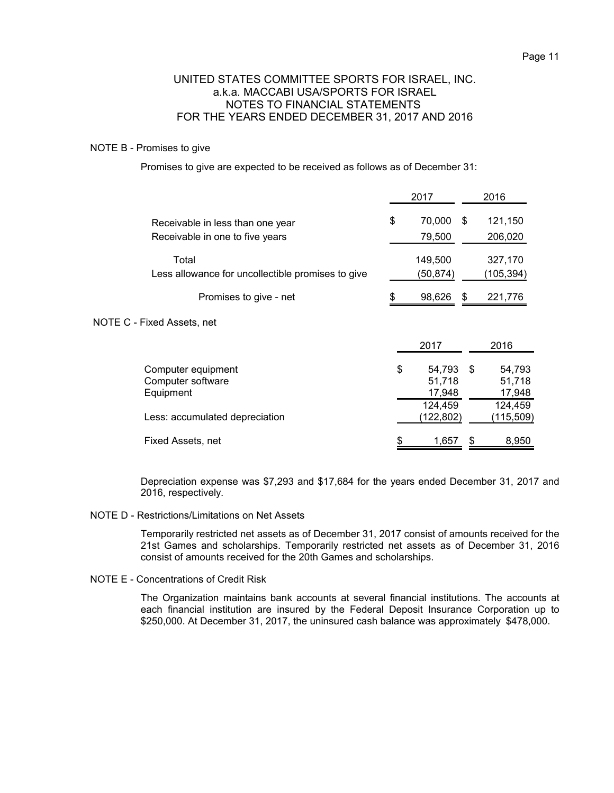#### NOTE B - Promises to give

NOTE

Promises to give are expected to be received as follows as of December 31:

|                                                                     | 2017                                        |      | 2016                                  |
|---------------------------------------------------------------------|---------------------------------------------|------|---------------------------------------|
| Receivable in less than one year<br>Receivable in one to five years | \$<br>70,000<br>79,500                      | - \$ | 121,150<br>206,020                    |
| Total<br>Less allowance for uncollectible promises to give          | 149,500<br>(50,874)                         |      | 327,170<br>(105,394)                  |
| Promises to give - net                                              | 98,626                                      | \$   | 221,776                               |
| C - Fixed Assets, net                                               |                                             |      |                                       |
|                                                                     | 2017                                        |      | 2016                                  |
| Computer equipment<br>Computer software<br>Equipment                | \$<br>54,793<br>51,718<br>17,948<br>124,459 | \$   | 54,793<br>51,718<br>17,948<br>124,459 |
| Less: accumulated depreciation                                      | (122, 802)                                  |      | 115,509)                              |
| Fixed Assets, net                                                   | \$<br>1,657                                 | S    | 8,950                                 |

Depreciation expense was \$7,293 and \$17,684 for the years ended December 31, 2017 and 2016, respectively.

NOTE D - Restrictions/Limitations on Net Assets

Temporarily restricted net assets as of December 31, 2017 consist of amounts received for the 21st Games and scholarships. Temporarily restricted net assets as of December 31, 2016 consist of amounts received for the 20th Games and scholarships.

NOTE E - Concentrations of Credit Risk

The Organization maintains bank accounts at several financial institutions. The accounts at each financial institution are insured by the Federal Deposit Insurance Corporation up to \$250,000. At December 31, 2017, the uninsured cash balance was approximately \$478,000.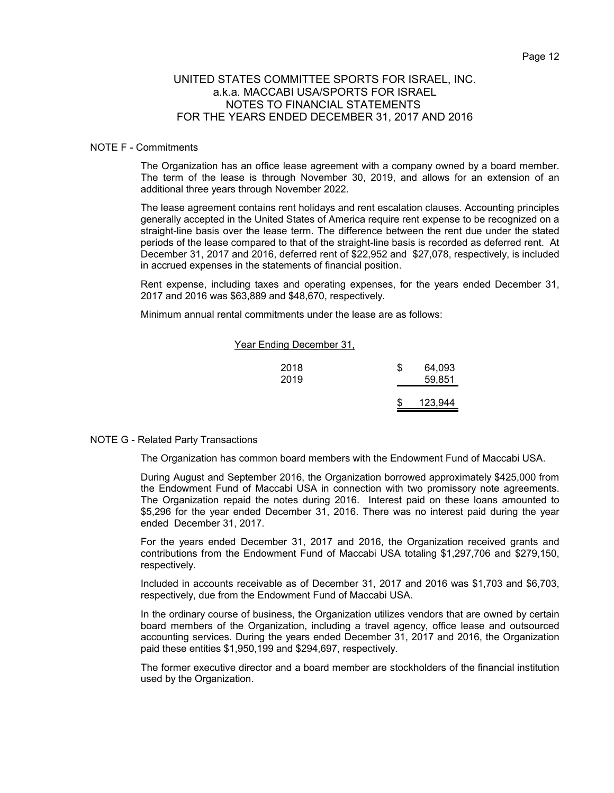#### NOTE F - Commitments

The Organization has an office lease agreement with a company owned by a board member. The term of the lease is through November 30, 2019, and allows for an extension of an additional three years through November 2022.

The lease agreement contains rent holidays and rent escalation clauses. Accounting principles generally accepted in the United States of America require rent expense to be recognized on a straight-line basis over the lease term. The difference between the rent due under the stated periods of the lease compared to that of the straight-line basis is recorded as deferred rent. At December 31, 2017 and 2016, deferred rent of \$22,952 and \$27,078, respectively, is included in accrued expenses in the statements of financial position.

Rent expense, including taxes and operating expenses, for the years ended December 31, 2017 and 2016 was \$63,889 and \$48,670, respectively.

Minimum annual rental commitments under the lease are as follows:

| Year Ending December 31, |              |
|--------------------------|--------------|
| 2018                     | \$<br>64,093 |
| 2019                     | 59,851       |
|                          | 123,944      |

#### NOTE G - Related Party Transactions

The Organization has common board members with the Endowment Fund of Maccabi USA.

During August and September 2016, the Organization borrowed approximately \$425,000 from the Endowment Fund of Maccabi USA in connection with two promissory note agreements. The Organization repaid the notes during 2016. Interest paid on these loans amounted to \$5,296 for the year ended December 31, 2016. There was no interest paid during the year ended December 31, 2017.

For the years ended December 31, 2017 and 2016, the Organization received grants and contributions from the Endowment Fund of Maccabi USA totaling \$1,297,706 and \$279,150, respectively.

Included in accounts receivable as of December 31, 2017 and 2016 was \$1,703 and \$6,703, respectively, due from the Endowment Fund of Maccabi USA.

In the ordinary course of business, the Organization utilizes vendors that are owned by certain board members of the Organization, including a travel agency, office lease and outsourced accounting services. During the years ended December 31, 2017 and 2016, the Organization paid these entities \$1,950,199 and \$294,697, respectively.

The former executive director and a board member are stockholders of the financial institution used by the Organization.